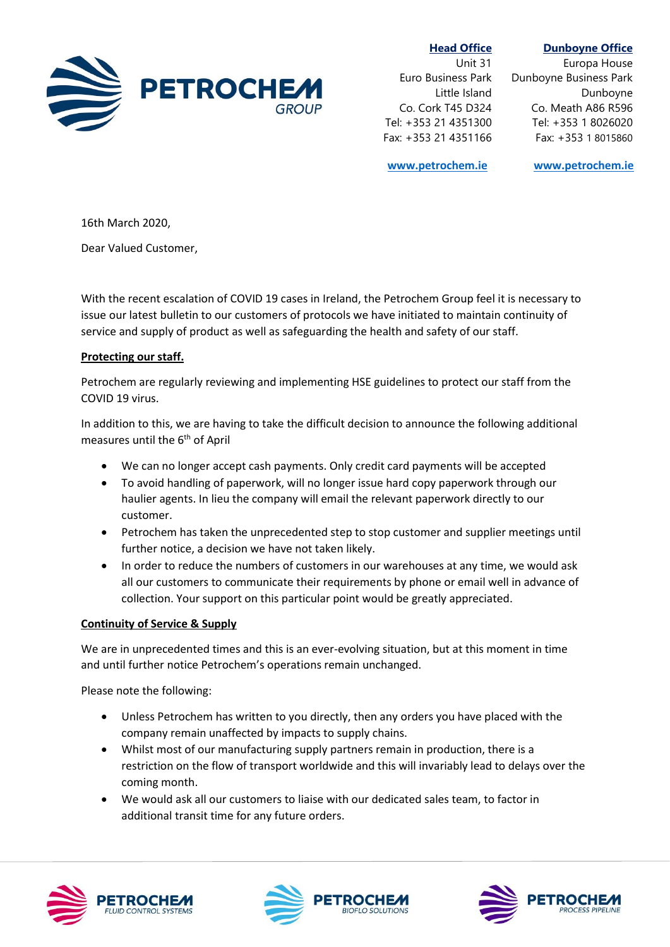

 **Head Office** Unit 31 Euro Business Park Little Island Co. Cork T45 D324 Tel: +353 21 4351300 Fax: +353 21 4351166

## **Dunboyne Office**

Europa House Dunboyne Business Park Dunboyne Co. Meath A86 R596 Tel: +353 1 8026020 Fax: +353 1 8015860

**[www.petrochem.ie](file:///C:/Users/BRyan/AppData/Local/Microsoft/Windows/Temporary%20Internet%20Files/Content.Outlook/K0A3ZZFD/www.petrochem.ie) [www.petrochem.ie](http://www.petrochem.ie/)**

16th March 2020,

Dear Valued Customer,

With the recent escalation of COVID 19 cases in Ireland, the Petrochem Group feel it is necessary to issue our latest bulletin to our customers of protocols we have initiated to maintain continuity of service and supply of product as well as safeguarding the health and safety of our staff.

## **Protecting our staff.**

Petrochem are regularly reviewing and implementing HSE guidelines to protect our staff from the COVID 19 virus.

In addition to this, we are having to take the difficult decision to announce the following additional measures until the 6<sup>th</sup> of April

- We can no longer accept cash payments. Only credit card payments will be accepted
- To avoid handling of paperwork, will no longer issue hard copy paperwork through our haulier agents. In lieu the company will email the relevant paperwork directly to our customer.
- Petrochem has taken the unprecedented step to stop customer and supplier meetings until further notice, a decision we have not taken likely.
- In order to reduce the numbers of customers in our warehouses at any time, we would ask all our customers to communicate their requirements by phone or email well in advance of collection. Your support on this particular point would be greatly appreciated.

## **Continuity of Service & Supply**

We are in unprecedented times and this is an ever-evolving situation, but at this moment in time and until further notice Petrochem's operations remain unchanged.

Please note the following:

- Unless Petrochem has written to you directly, then any orders you have placed with the company remain unaffected by impacts to supply chains.
- Whilst most of our manufacturing supply partners remain in production, there is a restriction on the flow of transport worldwide and this will invariably lead to delays over the coming month.
- We would ask all our customers to liaise with our dedicated sales team, to factor in additional transit time for any future orders.